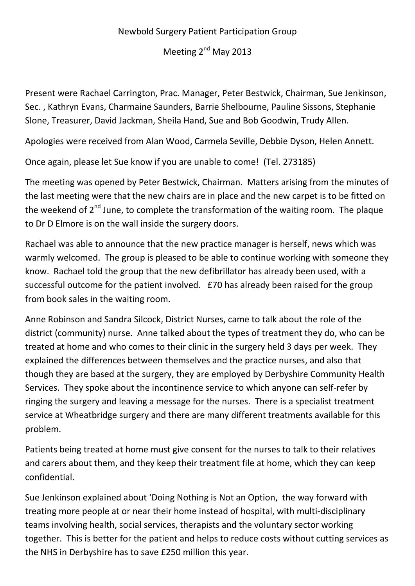## Newbold Surgery Patient Participation Group

Meeting 2<sup>nd</sup> May 2013

Present were Rachael Carrington, Prac. Manager, Peter Bestwick, Chairman, Sue Jenkinson, Sec. , Kathryn Evans, Charmaine Saunders, Barrie Shelbourne, Pauline Sissons, Stephanie Slone, Treasurer, David Jackman, Sheila Hand, Sue and Bob Goodwin, Trudy Allen.

Apologies were received from Alan Wood, Carmela Seville, Debbie Dyson, Helen Annett.

Once again, please let Sue know if you are unable to come! (Tel. 273185)

The meeting was opened by Peter Bestwick, Chairman. Matters arising from the minutes of the last meeting were that the new chairs are in place and the new carpet is to be fitted on the weekend of  $2^{nd}$  June, to complete the transformation of the waiting room. The plaque to Dr D Elmore is on the wall inside the surgery doors.

Rachael was able to announce that the new practice manager is herself, news which was warmly welcomed. The group is pleased to be able to continue working with someone they know. Rachael told the group that the new defibrillator has already been used, with a successful outcome for the patient involved. £70 has already been raised for the group from book sales in the waiting room.

Anne Robinson and Sandra Silcock, District Nurses, came to talk about the role of the district (community) nurse. Anne talked about the types of treatment they do, who can be treated at home and who comes to their clinic in the surgery held 3 days per week. They explained the differences between themselves and the practice nurses, and also that though they are based at the surgery, they are employed by Derbyshire Community Health Services. They spoke about the incontinence service to which anyone can self-refer by ringing the surgery and leaving a message for the nurses. There is a specialist treatment service at Wheatbridge surgery and there are many different treatments available for this problem.

Patients being treated at home must give consent for the nurses to talk to their relatives and carers about them, and they keep their treatment file at home, which they can keep confidential.

Sue Jenkinson explained about 'Doing Nothing is Not an Option, the way forward with treating more people at or near their home instead of hospital, with multi-disciplinary teams involving health, social services, therapists and the voluntary sector working together. This is better for the patient and helps to reduce costs without cutting services as the NHS in Derbyshire has to save £250 million this year.